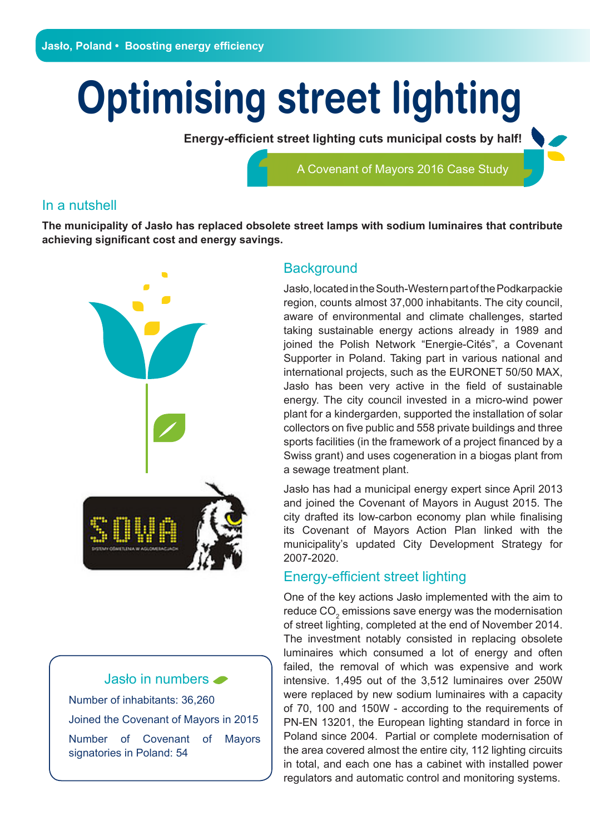# **Optimising street lighting**

**Energy-efficient street lighting cuts municipal costs by half!**

A Covenant of Mayors 2016 Case Study

#### In a nutshell

**The municipality of Jasło has replaced obsolete street lamps with sodium luminaires that contribute achieving significant cost and energy savings.**



Jasło in numbers Number of inhabitants: 36,260 Joined the Covenant of Mayors in 2015 Number of Covenant of Mayors signatories in Poland: 54

#### **Background**

Jasło, located in the South-Western part of the Podkarpackie region, counts almost 37,000 inhabitants. The city council, aware of environmental and climate challenges, started taking sustainable energy actions already in 1989 and joined the Polish Network "Energie-Cités", a Covenant Supporter in Poland. Taking part in various national and international projects, such as the EURONET 50/50 MAX, Jasło has been very active in the field of sustainable energy. The city council invested in a micro-wind power plant for a kindergarden, supported the installation of solar collectors on five public and 558 private buildings and three sports facilities (in the framework of a project financed by a Swiss grant) and uses cogeneration in a biogas plant from a sewage treatment plant.

Jasło has had a municipal energy expert since April 2013 and joined the Covenant of Mayors in August 2015. The city drafted its low-carbon economy plan while finalising its Covenant of Mayors Action Plan linked with the municipality's updated City Development Strategy for 2007-2020.

## Energy-efficient street lighting

One of the key actions Jasło implemented with the aim to reduce  $\mathrm{CO}_2$  emissions save energy was the modernisation of street lighting, completed at the end of November 2014. The investment notably consisted in replacing obsolete luminaires which consumed a lot of energy and often failed, the removal of which was expensive and work intensive. 1,495 out of the 3,512 luminaires over 250W were replaced by new sodium luminaires with a capacity of 70, 100 and 150W - according to the requirements of PN-EN 13201, the European lighting standard in force in Poland since 2004. Partial or complete modernisation of the area covered almost the entire city, 112 lighting circuits in total, and each one has a cabinet with installed power regulators and automatic control and monitoring systems.